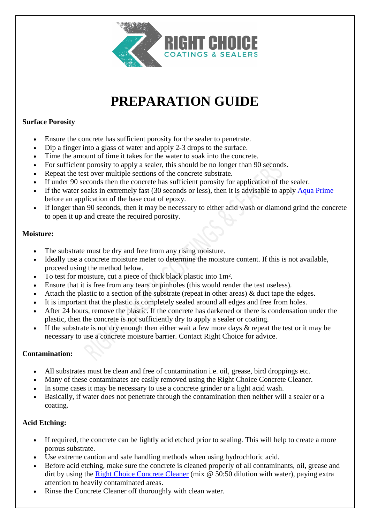

# **PREPARATION GUIDE**

### **Surface Porosity**

- Ensure the concrete has sufficient porosity for the sealer to penetrate.
- Dip a finger into a glass of water and apply 2-3 drops to the surface.
- Time the amount of time it takes for the water to soak into the concrete.
- For sufficient porosity to apply a sealer, this should be no longer than 90 seconds.
- Repeat the test over multiple sections of the concrete substrate.
- If under 90 seconds then the concrete has sufficient porosity for application of the sealer.
- If the water soaks in extremely fast (30 seconds or less), then it is advisable to apply [Aqua Prime](https://concretecoatingsealers.com.au/product/aqua-prime/) before an application of the base coat of epoxy.
- If longer than 90 seconds, then it may be necessary to either acid wash or diamond grind the concrete to open it up and create the required porosity.

### **Moisture:**

- The substrate must be dry and free from any rising moisture.
- Ideally use a concrete moisture meter to determine the moisture content. If this is not available, proceed using the method below.
- To test for moisture, cut a piece of thick black plastic into 1m².
- Ensure that it is free from any tears or pinholes (this would render the test useless).
- Attach the plastic to a section of the substrate (repeat in other areas) & duct tape the edges.
- It is important that the plastic is completely sealed around all edges and free from holes.
- After 24 hours, remove the plastic. If the concrete has darkened or there is condensation under the plastic, then the concrete is not sufficiently dry to apply a sealer or coating.
- If the substrate is not dry enough then either wait a few more days  $\&$  repeat the test or it may be necessary to use a concrete moisture barrier. Contact Right Choice for advice.

#### **Contamination:**

- All substrates must be clean and free of contamination i.e. oil, grease, bird droppings etc.
- Many of these contaminates are easily removed using the Right Choice Concrete Cleaner.
- In some cases it may be necessary to use a concrete grinder or a light acid wash.
- Basically, if water does not penetrate through the contamination then neither will a sealer or a coating.

## **Acid Etching:**

- If required, the concrete can be lightly acid etched prior to sealing. This will help to create a more porous substrate.
- Use extreme caution and safe handling methods when using hydrochloric acid.
- Before acid etching, make sure the concrete is cleaned properly of all contaminants, oil, grease and dirt by using the [Right Choice Concrete Cleaner](https://concretecoatingsealers.com.au/product/concrete-cleaner/) (mix @ 50:50 dilution with water), paying extra attention to heavily contaminated areas.
- Rinse the Concrete Cleaner off thoroughly with clean water.